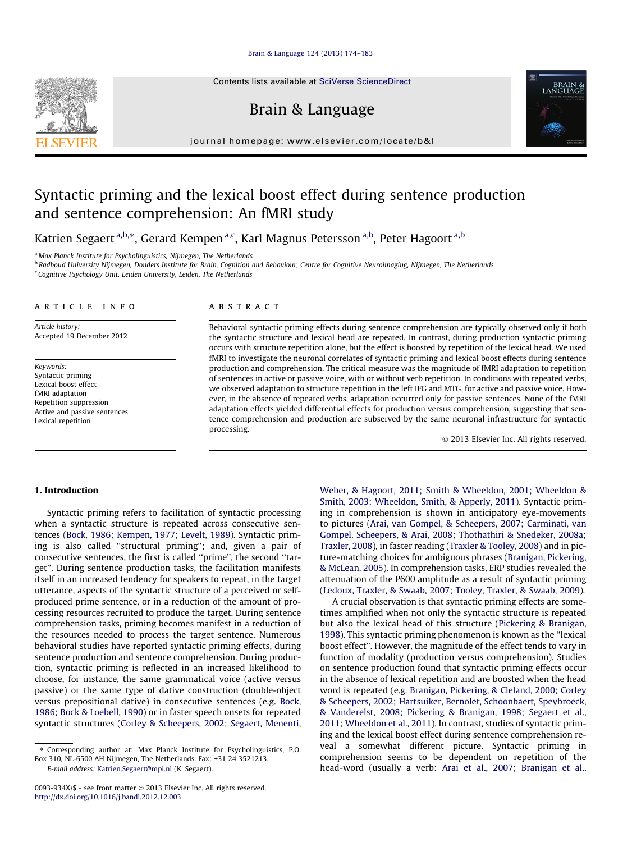## [Brain & Language 124 \(2013\) 174–183](http://dx.doi.org/10.1016/j.bandl.2012.12.003)

Contents lists available at [SciVerse ScienceDirect](http://www.sciencedirect.com/science/journal/0093934X)

# Brain & Language



journal homepage: [www.elsevier.com/locate/b&l](http://www.elsevier.com/locate/b&l)

# Syntactic priming and the lexical boost effect during sentence production and sentence comprehension: An fMRI study

Katrien Segaert <sup>a,b,</sup>\*, Gerard Kempen <sup>a,c</sup>, Karl Magnus Petersson <sup>a,b</sup>, Peter Hagoort <sup>a,b</sup>

<sup>a</sup> Max Planck Institute for Psycholinguistics, Nijmegen, The Netherlands

<sup>b</sup> Radboud University Nijmegen, Donders Institute for Brain, Cognition and Behaviour, Centre for Cognitive Neuroimaging, Nijmegen, The Netherlands

<sup>c</sup> Cognitive Psychology Unit, Leiden University, Leiden, The Netherlands

## article info

Article history: Accepted 19 December 2012

Keywords: Syntactic priming Lexical boost effect fMRI adaptation Repetition suppression Active and passive sentences Lexical repetition

## ABSTRACT

Behavioral syntactic priming effects during sentence comprehension are typically observed only if both the syntactic structure and lexical head are repeated. In contrast, during production syntactic priming occurs with structure repetition alone, but the effect is boosted by repetition of the lexical head. We used fMRI to investigate the neuronal correlates of syntactic priming and lexical boost effects during sentence production and comprehension. The critical measure was the magnitude of fMRI adaptation to repetition of sentences in active or passive voice, with or without verb repetition. In conditions with repeated verbs, we observed adaptation to structure repetition in the left IFG and MTG, for active and passive voice. However, in the absence of repeated verbs, adaptation occurred only for passive sentences. None of the fMRI adaptation effects yielded differential effects for production versus comprehension, suggesting that sentence comprehension and production are subserved by the same neuronal infrastructure for syntactic processing.

- 2013 Elsevier Inc. All rights reserved.

## 1. Introduction

Syntactic priming refers to facilitation of syntactic processing when a syntactic structure is repeated across consecutive sentences ([Bock, 1986; Kempen, 1977; Levelt, 1989](#page-8-0)). Syntactic priming is also called ''structural priming''; and, given a pair of consecutive sentences, the first is called ''prime'', the second ''target''. During sentence production tasks, the facilitation manifests itself in an increased tendency for speakers to repeat, in the target utterance, aspects of the syntactic structure of a perceived or selfproduced prime sentence, or in a reduction of the amount of processing resources recruited to produce the target. During sentence comprehension tasks, priming becomes manifest in a reduction of the resources needed to process the target sentence. Numerous behavioral studies have reported syntactic priming effects, during sentence production and sentence comprehension. During production, syntactic priming is reflected in an increased likelihood to choose, for instance, the same grammatical voice (active versus passive) or the same type of dative construction (double-object versus prepositional dative) in consecutive sentences (e.g. [Bock,](#page-8-0) [1986; Bock & Loebell, 1990\)](#page-8-0) or in faster speech onsets for repeated syntactic structures ([Corley & Scheepers, 2002; Segaert, Menenti,](#page-8-0) [Weber, & Hagoort, 2011; Smith & Wheeldon, 2001; Wheeldon &](#page-8-0) [Smith, 2003; Wheeldon, Smith, & Apperly, 2011](#page-8-0)). Syntactic priming in comprehension is shown in anticipatory eye-movements to pictures [\(Arai, van Gompel, & Scheepers, 2007; Carminati, van](#page-8-0) [Gompel, Scheepers, & Arai, 2008; Thothathiri & Snedeker, 2008a;](#page-8-0) [Traxler, 2008](#page-8-0)), in faster reading ([Traxler & Tooley, 2008\)](#page-9-0) and in picture-matching choices for ambiguous phrases ([Branigan, Pickering,](#page-8-0) [& McLean, 2005](#page-8-0)). In comprehension tasks, ERP studies revealed the attenuation of the P600 amplitude as a result of syntactic priming ([Ledoux, Traxler, & Swaab, 2007; Tooley, Traxler, & Swaab, 2009\)](#page-9-0).

A crucial observation is that syntactic priming effects are sometimes amplified when not only the syntactic structure is repeated but also the lexical head of this structure [\(Pickering & Branigan,](#page-9-0) [1998\)](#page-9-0). This syntactic priming phenomenon is known as the ''lexical boost effect''. However, the magnitude of the effect tends to vary in function of modality (production versus comprehension). Studies on sentence production found that syntactic priming effects occur in the absence of lexical repetition and are boosted when the head word is repeated (e.g. [Branigan, Pickering, & Cleland, 2000; Corley](#page-8-0) [& Scheepers, 2002; Hartsuiker, Bernolet, Schoonbaert, Speybroeck,](#page-8-0) [& Vanderelst, 2008; Pickering & Branigan, 1998; Segaert et al.,](#page-8-0) [2011; Wheeldon et al., 2011\)](#page-8-0). In contrast, studies of syntactic priming and the lexical boost effect during sentence comprehension reveal a somewhat different picture. Syntactic priming in comprehension seems to be dependent on repetition of the head-word (usually a verb: [Arai et al., 2007; Branigan et al.,](#page-8-0)



<sup>⇑</sup> Corresponding author at: Max Planck Institute for Psycholinguistics, P.O. Box 310, NL-6500 AH Nijmegen, The Netherlands. Fax: +31 24 3521213.

E-mail address: [Katrien.Segaert@mpi.nl](mailto:Katrien.Segaert@mpi.nl) (K. Segaert).

<sup>0093-934</sup>X/\$ - see front matter © 2013 Elsevier Inc. All rights reserved. <http://dx.doi.org/10.1016/j.bandl.2012.12.003>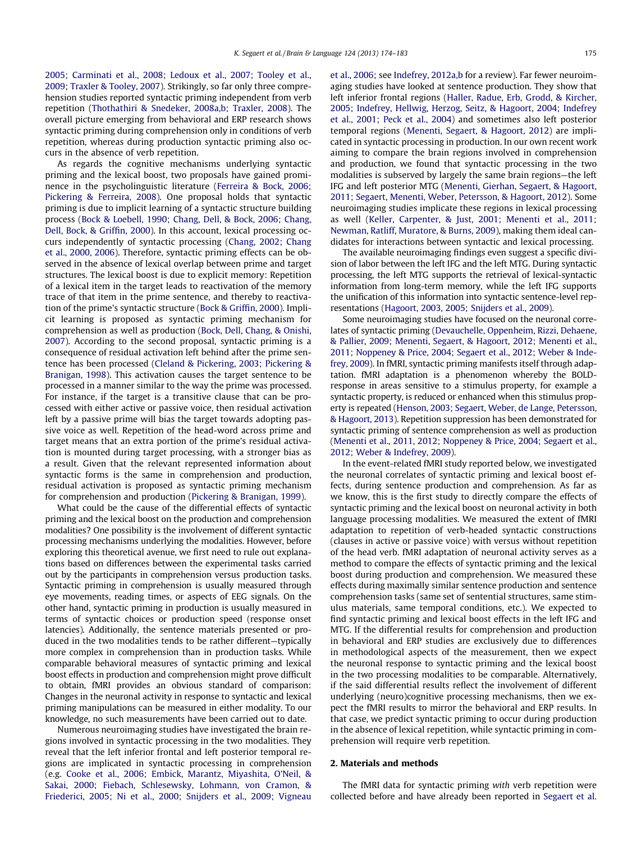[2005; Carminati et al., 2008; Ledoux et al., 2007; Tooley et al.,](#page-8-0) [2009; Traxler & Tooley, 2007\)](#page-8-0). Strikingly, so far only three comprehension studies reported syntactic priming independent from verb repetition ([Thothathiri & Snedeker, 2008a,b; Traxler, 2008\)](#page-9-0). The overall picture emerging from behavioral and ERP research shows syntactic priming during comprehension only in conditions of verb repetition, whereas during production syntactic priming also occurs in the absence of verb repetition.

As regards the cognitive mechanisms underlying syntactic priming and the lexical boost, two proposals have gained prominence in the psycholinguistic literature ([Ferreira & Bock, 2006;](#page-9-0) [Pickering & Ferreira, 2008\)](#page-9-0). One proposal holds that syntactic priming is due to implicit learning of a syntactic structure building process ([Bock & Loebell, 1990; Chang, Dell, & Bock, 2006; Chang,](#page-8-0) [Dell, Bock, & Griffin, 2000\)](#page-8-0). In this account, lexical processing occurs independently of syntactic processing ([Chang, 2002; Chang](#page-8-0) [et al., 2000, 2006](#page-8-0)). Therefore, syntactic priming effects can be observed in the absence of lexical overlap between prime and target structures. The lexical boost is due to explicit memory: Repetition of a lexical item in the target leads to reactivation of the memory trace of that item in the prime sentence, and thereby to reactivation of the prime's syntactic structure ([Bock & Griffin, 2000](#page-8-0)). Implicit learning is proposed as syntactic priming mechanism for comprehension as well as production ([Bock, Dell, Chang, & Onishi,](#page-8-0) [2007](#page-8-0)). According to the second proposal, syntactic priming is a consequence of residual activation left behind after the prime sentence has been processed [\(Cleland & Pickering, 2003; Pickering &](#page-8-0) [Branigan, 1998](#page-8-0)). This activation causes the target sentence to be processed in a manner similar to the way the prime was processed. For instance, if the target is a transitive clause that can be processed with either active or passive voice, then residual activation left by a passive prime will bias the target towards adopting passive voice as well. Repetition of the head-word across prime and target means that an extra portion of the prime's residual activation is mounted during target processing, with a stronger bias as a result. Given that the relevant represented information about syntactic forms is the same in comprehension and production, residual activation is proposed as syntactic priming mechanism for comprehension and production ([Pickering & Branigan, 1999\)](#page-9-0).

What could be the cause of the differential effects of syntactic priming and the lexical boost on the production and comprehension modalities? One possibility is the involvement of different syntactic processing mechanisms underlying the modalities. However, before exploring this theoretical avenue, we first need to rule out explanations based on differences between the experimental tasks carried out by the participants in comprehension versus production tasks. Syntactic priming in comprehension is usually measured through eye movements, reading times, or aspects of EEG signals. On the other hand, syntactic priming in production is usually measured in terms of syntactic choices or production speed (response onset latencies). Additionally, the sentence materials presented or produced in the two modalities tends to be rather different—typically more complex in comprehension than in production tasks. While comparable behavioral measures of syntactic priming and lexical boost effects in production and comprehension might prove difficult to obtain, fMRI provides an obvious standard of comparison: Changes in the neuronal activity in response to syntactic and lexical priming manipulations can be measured in either modality. To our knowledge, no such measurements have been carried out to date.

Numerous neuroimaging studies have investigated the brain regions involved in syntactic processing in the two modalities. They reveal that the left inferior frontal and left posterior temporal regions are implicated in syntactic processing in comprehension (e.g. [Cooke et al., 2006; Embick, Marantz, Miyashita, O'Neil, &](#page-8-0) [Sakai, 2000; Fiebach, Schlesewsky, Lohmann, von Cramon, &](#page-8-0) [Friederici, 2005; Ni et al., 2000; Snijders et al., 2009; Vigneau](#page-8-0) [et al., 2006](#page-8-0); see [Indefrey, 2012a,b](#page-9-0) for a review). Far fewer neuroimaging studies have looked at sentence production. They show that left inferior frontal regions [\(Haller, Radue, Erb, Grodd, & Kircher,](#page-9-0) [2005; Indefrey, Hellwig, Herzog, Seitz, & Hagoort, 2004; Indefrey](#page-9-0) [et al., 2001; Peck et al., 2004\)](#page-9-0) and sometimes also left posterior temporal regions ([Menenti, Segaert, & Hagoort, 2012\)](#page-9-0) are implicated in syntactic processing in production. In our own recent work aiming to compare the brain regions involved in comprehension and production, we found that syntactic processing in the two modalities is subserved by largely the same brain regions—the left IFG and left posterior MTG [\(Menenti, Gierhan, Segaert, & Hagoort,](#page-9-0) [2011; Segaert, Menenti, Weber, Petersson, & Hagoort, 2012\)](#page-9-0). Some neuroimaging studies implicate these regions in lexical processing as well ([Keller, Carpenter, & Just, 2001; Menenti et al., 2011;](#page-9-0) [Newman, Ratliff, Muratore, & Burns, 2009](#page-9-0)), making them ideal candidates for interactions between syntactic and lexical processing.

The available neuroimaging findings even suggest a specific division of labor between the left IFG and the left MTG. During syntactic processing, the left MTG supports the retrieval of lexical-syntactic information from long-term memory, while the left IFG supports the unification of this information into syntactic sentence-level representations ([Hagoort, 2003, 2005; Snijders et al., 2009](#page-9-0)).

Some neuroimaging studies have focused on the neuronal correlates of syntactic priming [\(Devauchelle, Oppenheim, Rizzi, Dehaene,](#page-8-0) [& Pallier, 2009; Menenti, Segaert, & Hagoort, 2012; Menenti et al.,](#page-8-0) [2011; Noppeney & Price, 2004; Segaert et al., 2012; Weber & Inde](#page-8-0)[frey, 2009](#page-8-0)). In fMRI, syntactic priming manifests itself through adaptation. fMRI adaptation is a phenomenon whereby the BOLDresponse in areas sensitive to a stimulus property, for example a syntactic property, is reduced or enhanced when this stimulus property is repeated ([Henson, 2003; Segaert, Weber, de Lange, Petersson,](#page-9-0) [& Hagoort, 2013](#page-9-0)). Repetition suppression has been demonstrated for syntactic priming of sentence comprehension as well as production [\(Menenti et al., 2011, 2012; Noppeney & Price, 2004; Segaert et al.,](#page-9-0) [2012; Weber & Indefrey, 2009](#page-9-0)).

In the event-related fMRI study reported below, we investigated the neuronal correlates of syntactic priming and lexical boost effects, during sentence production and comprehension. As far as we know, this is the first study to directly compare the effects of syntactic priming and the lexical boost on neuronal activity in both language processing modalities. We measured the extent of fMRI adaptation to repetition of verb-headed syntactic constructions (clauses in active or passive voice) with versus without repetition of the head verb. fMRI adaptation of neuronal activity serves as a method to compare the effects of syntactic priming and the lexical boost during production and comprehension. We measured these effects during maximally similar sentence production and sentence comprehension tasks (same set of sentential structures, same stimulus materials, same temporal conditions, etc.). We expected to find syntactic priming and lexical boost effects in the left IFG and MTG. If the differential results for comprehension and production in behavioral and ERP studies are exclusively due to differences in methodological aspects of the measurement, then we expect the neuronal response to syntactic priming and the lexical boost in the two processing modalities to be comparable. Alternatively, if the said differential results reflect the involvement of different underlying (neuro)cognitive processing mechanisms, then we expect the fMRI results to mirror the behavioral and ERP results. In that case, we predict syntactic priming to occur during production in the absence of lexical repetition, while syntactic priming in comprehension will require verb repetition.

## 2. Materials and methods

The fMRI data for syntactic priming with verb repetition were collected before and have already been reported in [Segaert et al.](#page-9-0)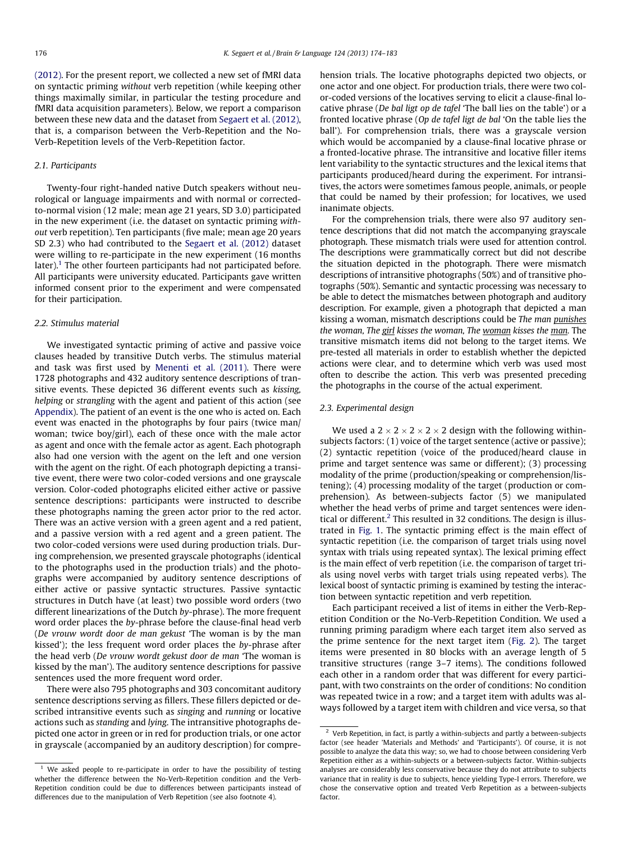[\(2012\).](#page-9-0) For the present report, we collected a new set of fMRI data on syntactic priming without verb repetition (while keeping other things maximally similar, in particular the testing procedure and fMRI data acquisition parameters). Below, we report a comparison between these new data and the dataset from [Segaert et al. \(2012\),](#page-9-0) that is, a comparison between the Verb-Repetition and the No-Verb-Repetition levels of the Verb-Repetition factor.

## 2.1. Participants

Twenty-four right-handed native Dutch speakers without neurological or language impairments and with normal or correctedto-normal vision (12 male; mean age 21 years, SD 3.0) participated in the new experiment (i.e. the dataset on syntactic priming without verb repetition). Ten participants (five male; mean age 20 years SD 2.3) who had contributed to the [Segaert et al. \(2012\)](#page-9-0) dataset were willing to re-participate in the new experiment (16 months  $later).<sup>1</sup>$  The other fourteen participants had not participated before. All participants were university educated. Participants gave written informed consent prior to the experiment and were compensated for their participation.

# 2.2. Stimulus material

We investigated syntactic priming of active and passive voice clauses headed by transitive Dutch verbs. The stimulus material and task was first used by [Menenti et al. \(2011\).](#page-9-0) There were 1728 photographs and 432 auditory sentence descriptions of transitive events. These depicted 36 different events such as kissing, helping or strangling with the agent and patient of this action (see Appendix). The patient of an event is the one who is acted on. Each event was enacted in the photographs by four pairs (twice man/ woman; twice boy/girl), each of these once with the male actor as agent and once with the female actor as agent. Each photograph also had one version with the agent on the left and one version with the agent on the right. Of each photograph depicting a transitive event, there were two color-coded versions and one grayscale version. Color-coded photographs elicited either active or passive sentence descriptions: participants were instructed to describe these photographs naming the green actor prior to the red actor. There was an active version with a green agent and a red patient, and a passive version with a red agent and a green patient. The two color-coded versions were used during production trials. During comprehension, we presented grayscale photographs (identical to the photographs used in the production trials) and the photographs were accompanied by auditory sentence descriptions of either active or passive syntactic structures. Passive syntactic structures in Dutch have (at least) two possible word orders (two different linearizations of the Dutch by-phrase). The more frequent word order places the by-phrase before the clause-final head verb (De vrouw wordt door de man gekust 'The woman is by the man kissed'); the less frequent word order places the by-phrase after the head verb (De vrouw wordt gekust door de man 'The woman is kissed by the man'). The auditory sentence descriptions for passive sentences used the more frequent word order.

There were also 795 photographs and 303 concomitant auditory sentence descriptions serving as fillers. These fillers depicted or described intransitive events such as singing and running or locative actions such as standing and lying. The intransitive photographs depicted one actor in green or in red for production trials, or one actor in grayscale (accompanied by an auditory description) for comprehension trials. The locative photographs depicted two objects, or one actor and one object. For production trials, there were two color-coded versions of the locatives serving to elicit a clause-final locative phrase (De bal ligt op de tafel 'The ball lies on the table') or a fronted locative phrase (Op de tafel ligt de bal 'On the table lies the ball'). For comprehension trials, there was a grayscale version which would be accompanied by a clause-final locative phrase or a fronted-locative phrase. The intransitive and locative filler items lent variability to the syntactic structures and the lexical items that participants produced/heard during the experiment. For intransitives, the actors were sometimes famous people, animals, or people that could be named by their profession; for locatives, we used inanimate objects.

For the comprehension trials, there were also 97 auditory sentence descriptions that did not match the accompanying grayscale photograph. These mismatch trials were used for attention control. The descriptions were grammatically correct but did not describe the situation depicted in the photograph. There were mismatch descriptions of intransitive photographs (50%) and of transitive photographs (50%). Semantic and syntactic processing was necessary to be able to detect the mismatches between photograph and auditory description. For example, given a photograph that depicted a man kissing a woman, mismatch descriptions could be The man punishes the woman, The girl kisses the woman, The woman kisses the man. The transitive mismatch items did not belong to the target items. We pre-tested all materials in order to establish whether the depicted actions were clear, and to determine which verb was used most often to describe the action. This verb was presented preceding the photographs in the course of the actual experiment.

#### 2.3. Experimental design

We used a  $2 \times 2 \times 2 \times 2$  design with the following withinsubjects factors: (1) voice of the target sentence (active or passive); (2) syntactic repetition (voice of the produced/heard clause in prime and target sentence was same or different); (3) processing modality of the prime (production/speaking or comprehension/listening); (4) processing modality of the target (production or comprehension). As between-subjects factor (5) we manipulated whether the head verbs of prime and target sentences were identical or different.<sup>2</sup> This resulted in 32 conditions. The design is illustrated in [Fig. 1](#page-3-0). The syntactic priming effect is the main effect of syntactic repetition (i.e. the comparison of target trials using novel syntax with trials using repeated syntax). The lexical priming effect is the main effect of verb repetition (i.e. the comparison of target trials using novel verbs with target trials using repeated verbs). The lexical boost of syntactic priming is examined by testing the interaction between syntactic repetition and verb repetition.

Each participant received a list of items in either the Verb-Repetition Condition or the No-Verb-Repetition Condition. We used a running priming paradigm where each target item also served as the prime sentence for the next target item [\(Fig. 2](#page-4-0)). The target items were presented in 80 blocks with an average length of 5 transitive structures (range 3–7 items). The conditions followed each other in a random order that was different for every participant, with two constraints on the order of conditions: No condition was repeated twice in a row; and a target item with adults was always followed by a target item with children and vice versa, so that

 $1$  We asked people to re-participate in order to have the possibility of testing whether the difference between the No-Verb-Repetition condition and the Verb-Repetition condition could be due to differences between participants instead of differences due to the manipulation of Verb Repetition (see also footnote 4).

 $2$  Verb Repetition, in fact, is partly a within-subjects and partly a between-subjects factor (see header 'Materials and Methods' and 'Participants'). Of course, it is not possible to analyze the data this way; so, we had to choose between considering Verb Repetition either as a within-subjects or a between-subjects factor. Within-subjects analyses are considerably less conservative because they do not attribute to subjects variance that in reality is due to subjects, hence yielding Type-I errors. Therefore, we chose the conservative option and treated Verb Repetition as a between-subjects factor.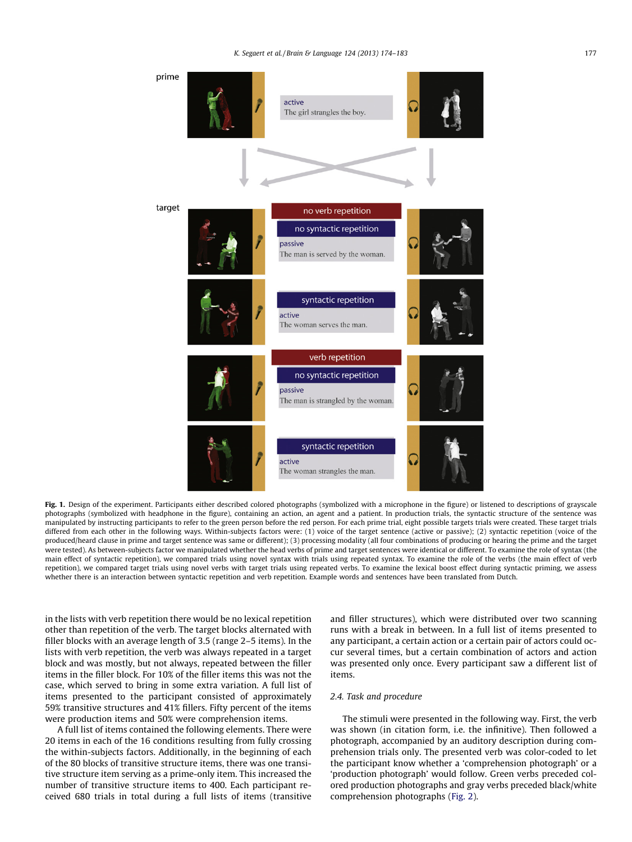<span id="page-3-0"></span>

Fig. 1. Design of the experiment. Participants either described colored photographs (symbolized with a microphone in the figure) or listened to descriptions of grayscale photographs (symbolized with headphone in the figure), containing an action, an agent and a patient. In production trials, the syntactic structure of the sentence was manipulated by instructing participants to refer to the green person before the red person. For each prime trial, eight possible targets trials were created. These target trials differed from each other in the following ways. Within-subjects factors were: (1) voice of the target sentence (active or passive); (2) syntactic repetition (voice of the produced/heard clause in prime and target sentence was same or different); (3) processing modality (all four combinations of producing or hearing the prime and the target were tested). As between-subjects factor we manipulated whether the head verbs of prime and target sentences were identical or different. To examine the role of syntax (the main effect of syntactic repetition), we compared trials using novel syntax with trials using repeated syntax. To examine the role of the verbs (the main effect of verb repetition), we compared target trials using novel verbs with target trials using repeated verbs. To examine the lexical boost effect during syntactic priming, we assess whether there is an interaction between syntactic repetition and verb repetition. Example words and sentences have been translated from Dutch.

in the lists with verb repetition there would be no lexical repetition other than repetition of the verb. The target blocks alternated with filler blocks with an average length of 3.5 (range 2–5 items). In the lists with verb repetition, the verb was always repeated in a target block and was mostly, but not always, repeated between the filler items in the filler block. For 10% of the filler items this was not the case, which served to bring in some extra variation. A full list of items presented to the participant consisted of approximately 59% transitive structures and 41% fillers. Fifty percent of the items were production items and 50% were comprehension items.

A full list of items contained the following elements. There were 20 items in each of the 16 conditions resulting from fully crossing the within-subjects factors. Additionally, in the beginning of each of the 80 blocks of transitive structure items, there was one transitive structure item serving as a prime-only item. This increased the number of transitive structure items to 400. Each participant received 680 trials in total during a full lists of items (transitive and filler structures), which were distributed over two scanning runs with a break in between. In a full list of items presented to any participant, a certain action or a certain pair of actors could occur several times, but a certain combination of actors and action was presented only once. Every participant saw a different list of items.

## 2.4. Task and procedure

The stimuli were presented in the following way. First, the verb was shown (in citation form, i.e. the infinitive). Then followed a photograph, accompanied by an auditory description during comprehension trials only. The presented verb was color-coded to let the participant know whether a 'comprehension photograph' or a 'production photograph' would follow. Green verbs preceded colored production photographs and gray verbs preceded black/white comprehension photographs ([Fig. 2](#page-4-0)).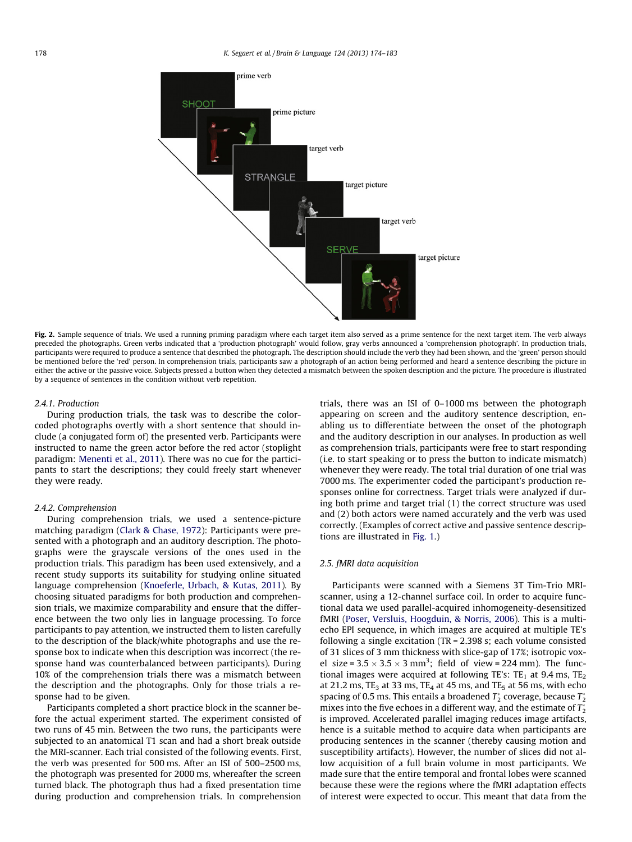<span id="page-4-0"></span>

Fig. 2. Sample sequence of trials. We used a running priming paradigm where each target item also served as a prime sentence for the next target item. The verb always preceded the photographs. Green verbs indicated that a 'production photograph' would follow, gray verbs announced a 'comprehension photograph'. In production trials, participants were required to produce a sentence that described the photograph. The description should include the verb they had been shown, and the 'green' person should be mentioned before the 'red' person. In comprehension trials, participants saw a photograph of an action being performed and heard a sentence describing the picture in either the active or the passive voice. Subjects pressed a button when they detected a mismatch between the spoken description and the picture. The procedure is illustrated by a sequence of sentences in the condition without verb repetition.

### 2.4.1. Production

During production trials, the task was to describe the colorcoded photographs overtly with a short sentence that should include (a conjugated form of) the presented verb. Participants were instructed to name the green actor before the red actor (stoplight paradigm: [Menenti et al., 2011\)](#page-9-0). There was no cue for the participants to start the descriptions; they could freely start whenever they were ready.

## 2.4.2. Comprehension

During comprehension trials, we used a sentence-picture matching paradigm [\(Clark & Chase, 1972\)](#page-8-0): Participants were presented with a photograph and an auditory description. The photographs were the grayscale versions of the ones used in the production trials. This paradigm has been used extensively, and a recent study supports its suitability for studying online situated language comprehension ([Knoeferle, Urbach, & Kutas, 2011\)](#page-9-0). By choosing situated paradigms for both production and comprehension trials, we maximize comparability and ensure that the difference between the two only lies in language processing. To force participants to pay attention, we instructed them to listen carefully to the description of the black/white photographs and use the response box to indicate when this description was incorrect (the response hand was counterbalanced between participants). During 10% of the comprehension trials there was a mismatch between the description and the photographs. Only for those trials a response had to be given.

Participants completed a short practice block in the scanner before the actual experiment started. The experiment consisted of two runs of 45 min. Between the two runs, the participants were subjected to an anatomical T1 scan and had a short break outside the MRI-scanner. Each trial consisted of the following events. First, the verb was presented for 500 ms. After an ISI of 500–2500 ms, the photograph was presented for 2000 ms, whereafter the screen turned black. The photograph thus had a fixed presentation time during production and comprehension trials. In comprehension trials, there was an ISI of 0–1000 ms between the photograph appearing on screen and the auditory sentence description, enabling us to differentiate between the onset of the photograph and the auditory description in our analyses. In production as well as comprehension trials, participants were free to start responding (i.e. to start speaking or to press the button to indicate mismatch) whenever they were ready. The total trial duration of one trial was 7000 ms. The experimenter coded the participant's production responses online for correctness. Target trials were analyzed if during both prime and target trial (1) the correct structure was used and (2) both actors were named accurately and the verb was used correctly. (Examples of correct active and passive sentence descriptions are illustrated in [Fig. 1](#page-3-0).)

## 2.5. fMRI data acquisition

Participants were scanned with a Siemens 3T Tim-Trio MRIscanner, using a 12-channel surface coil. In order to acquire functional data we used parallel-acquired inhomogeneity-desensitized fMRI ([Poser, Versluis, Hoogduin, & Norris, 2006](#page-9-0)). This is a multiecho EPI sequence, in which images are acquired at multiple TE's following a single excitation (TR = 2.398 s; each volume consisted of 31 slices of 3 mm thickness with slice-gap of 17%; isotropic voxel size =  $3.5 \times 3.5 \times 3$  mm<sup>3</sup>; field of view = 224 mm). The functional images were acquired at following TE's:  $TE_1$  at 9.4 ms,  $TE_2$ at 21.2 ms, TE<sub>3</sub> at 33 ms, TE<sub>4</sub> at 45 ms, and TE<sub>5</sub> at 56 ms, with echo spacing of 0.5 ms. This entails a broadened  $T_{2}^{*}$  coverage, because  $T_{2}^{*}$ mixes into the five echoes in a different way, and the estimate of  $T_2^*$ is improved. Accelerated parallel imaging reduces image artifacts, hence is a suitable method to acquire data when participants are producing sentences in the scanner (thereby causing motion and susceptibility artifacts). However, the number of slices did not allow acquisition of a full brain volume in most participants. We made sure that the entire temporal and frontal lobes were scanned because these were the regions where the fMRI adaptation effects of interest were expected to occur. This meant that data from the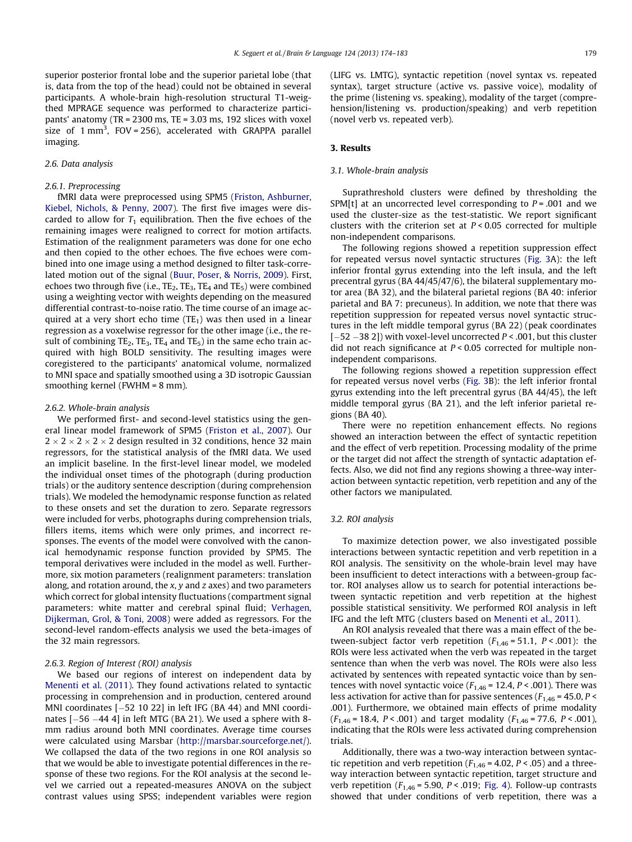superior posterior frontal lobe and the superior parietal lobe (that is, data from the top of the head) could not be obtained in several participants. A whole-brain high-resolution structural T1-weigthed MPRAGE sequence was performed to characterize participants' anatomy (TR = 2300 ms, TE = 3.03 ms, 192 slices with voxel size of  $1 \text{ mm}^3$ , FOV = 256), accelerated with GRAPPA parallel imaging.

#### 2.6. Data analysis

## 2.6.1. Preprocessing

fMRI data were preprocessed using SPM5 ([Friston, Ashburner,](#page-9-0) [Kiebel, Nichols, & Penny, 2007\)](#page-9-0). The first five images were discarded to allow for  $T_1$  equilibration. Then the five echoes of the remaining images were realigned to correct for motion artifacts. Estimation of the realignment parameters was done for one echo and then copied to the other echoes. The five echoes were combined into one image using a method designed to filter task-correlated motion out of the signal [\(Buur, Poser, & Norris, 2009](#page-8-0)). First, echoes two through five (i.e.,  $TE_2$ ,  $TE_3$ ,  $TE_4$  and  $TE_5$ ) were combined using a weighting vector with weights depending on the measured differential contrast-to-noise ratio. The time course of an image acquired at a very short echo time (TE<sub>1</sub>) was then used in a linear regression as a voxelwise regressor for the other image (i.e., the result of combining  $TE_2$ ,  $TE_3$ ,  $TE_4$  and  $TE_5$ ) in the same echo train acquired with high BOLD sensitivity. The resulting images were coregistered to the participants' anatomical volume, normalized to MNI space and spatially smoothed using a 3D isotropic Gaussian smoothing kernel (FWHM = 8 mm).

#### 2.6.2. Whole-brain analysis

We performed first- and second-level statistics using the general linear model framework of SPM5 [\(Friston et al., 2007\)](#page-9-0). Our  $2 \times 2 \times 2 \times 2$  design resulted in 32 conditions, hence 32 main regressors, for the statistical analysis of the fMRI data. We used an implicit baseline. In the first-level linear model, we modeled the individual onset times of the photograph (during production trials) or the auditory sentence description (during comprehension trials). We modeled the hemodynamic response function as related to these onsets and set the duration to zero. Separate regressors were included for verbs, photographs during comprehension trials, fillers items, items which were only primes, and incorrect responses. The events of the model were convolved with the canonical hemodynamic response function provided by SPM5. The temporal derivatives were included in the model as well. Furthermore, six motion parameters (realignment parameters: translation along, and rotation around, the  $x$ ,  $y$  and  $z$  axes) and two parameters which correct for global intensity fluctuations (compartment signal parameters: white matter and cerebral spinal fluid; [Verhagen,](#page-9-0) [Dijkerman, Grol, & Toni, 2008](#page-9-0)) were added as regressors. For the second-level random-effects analysis we used the beta-images of the 32 main regressors.

# 2.6.3. Region of Interest (ROI) analysis

We based our regions of interest on independent data by [Menenti et al. \(2011\)](#page-9-0). They found activations related to syntactic processing in comprehension and in production, centered around MNI coordinates  $[-52 10 22]$  in left IFG (BA 44) and MNI coordinates  $[-56 - 44 4]$  in left MTG (BA 21). We used a sphere with 8mm radius around both MNI coordinates. Average time courses were calculated using Marsbar ([http://marsbar.sourceforge.net/\)](http://marsbar.sourceforge.net/). We collapsed the data of the two regions in one ROI analysis so that we would be able to investigate potential differences in the response of these two regions. For the ROI analysis at the second level we carried out a repeated-measures ANOVA on the subject contrast values using SPSS; independent variables were region (LIFG vs. LMTG), syntactic repetition (novel syntax vs. repeated syntax), target structure (active vs. passive voice), modality of the prime (listening vs. speaking), modality of the target (comprehension/listening vs. production/speaking) and verb repetition (novel verb vs. repeated verb).

## 3. Results

#### 3.1. Whole-brain analysis

Suprathreshold clusters were defined by thresholding the SPM[t] at an uncorrected level corresponding to  $P = .001$  and we used the cluster-size as the test-statistic. We report significant clusters with the criterion set at  $P < 0.05$  corrected for multiple non-independent comparisons.

The following regions showed a repetition suppression effect for repeated versus novel syntactic structures ([Fig. 3](#page-6-0)A): the left inferior frontal gyrus extending into the left insula, and the left precentral gyrus (BA 44/45/47/6), the bilateral supplementary motor area (BA 32), and the bilateral parietal regions (BA 40: inferior parietal and BA 7: precuneus). In addition, we note that there was repetition suppression for repeated versus novel syntactic structures in the left middle temporal gyrus (BA 22) (peak coordinates  $[-52 - 38 2]$  with voxel-level uncorrected  $P < .001$ , but this cluster did not reach significance at  $P < 0.05$  corrected for multiple nonindependent comparisons.

The following regions showed a repetition suppression effect for repeated versus novel verbs ([Fig. 3B](#page-6-0)): the left inferior frontal gyrus extending into the left precentral gyrus (BA 44/45), the left middle temporal gyrus (BA 21), and the left inferior parietal regions (BA 40).

There were no repetition enhancement effects. No regions showed an interaction between the effect of syntactic repetition and the effect of verb repetition. Processing modality of the prime or the target did not affect the strength of syntactic adaptation effects. Also, we did not find any regions showing a three-way interaction between syntactic repetition, verb repetition and any of the other factors we manipulated.

## 3.2. ROI analysis

To maximize detection power, we also investigated possible interactions between syntactic repetition and verb repetition in a ROI analysis. The sensitivity on the whole-brain level may have been insufficient to detect interactions with a between-group factor. ROI analyses allow us to search for potential interactions between syntactic repetition and verb repetition at the highest possible statistical sensitivity. We performed ROI analysis in left IFG and the left MTG (clusters based on [Menenti et al., 2011](#page-9-0)).

An ROI analysis revealed that there was a main effect of the between-subject factor verb repetition  $(F<sub>1.46</sub> = 51.1, P < .001)$ : the ROIs were less activated when the verb was repeated in the target sentence than when the verb was novel. The ROIs were also less activated by sentences with repeated syntactic voice than by sentences with novel syntactic voice ( $F_{1,46}$  = 12.4,  $P < .001$ ). There was less activation for active than for passive sentences ( $F_{1,46}$  = 45.0,  $P$  < .001). Furthermore, we obtained main effects of prime modality  $(F<sub>1,46</sub> = 18.4, P < .001)$  and target modality  $(F<sub>1,46</sub> = 77.6, P < .001)$ , indicating that the ROIs were less activated during comprehension trials.

Additionally, there was a two-way interaction between syntactic repetition and verb repetition ( $F_{1,46}$  = 4.02,  $P < .05$ ) and a threeway interaction between syntactic repetition, target structure and verb repetition ( $F_{1,46}$  = 5.90,  $P < .019$ ; [Fig. 4\)](#page-6-0). Follow-up contrasts showed that under conditions of verb repetition, there was a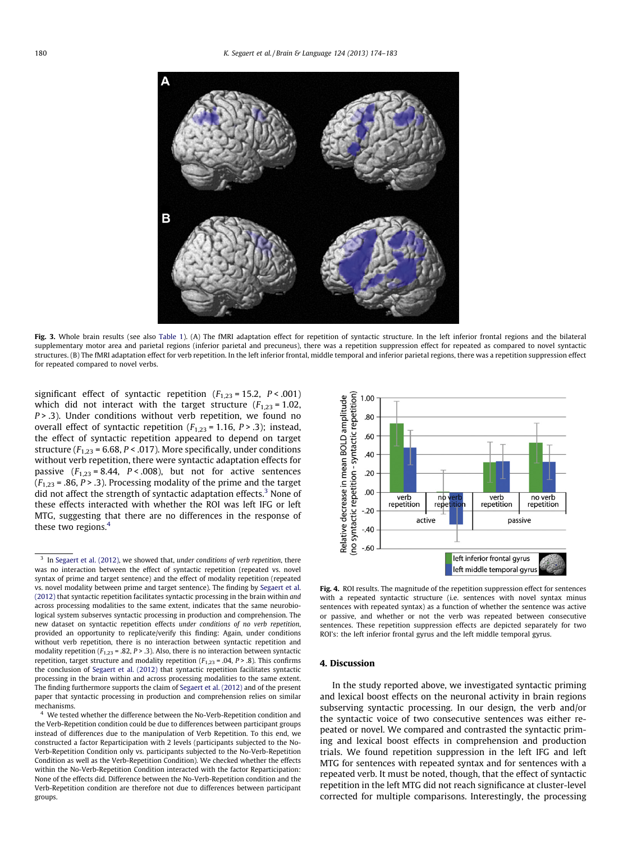<span id="page-6-0"></span>

Fig. 3. Whole brain results (see also [Table 1\)](#page-7-0). (A) The fMRI adaptation effect for repetition of syntactic structure. In the left inferior frontal regions and the bilateral supplementary motor area and parietal regions (inferior parietal and precuneus), there was a repetition suppression effect for repeated as compared to novel syntactic structures. (B) The fMRI adaptation effect for verb repetition. In the left inferior frontal, middle temporal and inferior parietal regions, there was a repetition suppression effect for repeated compared to novel verbs.

significant effect of syntactic repetition  $(F_{1,23} = 15.2, P < .001)$ which did not interact with the target structure  $(F_{1,23} = 1.02)$ ,  $P > 0.3$ ). Under conditions without verb repetition, we found no overall effect of syntactic repetition  $(F_{1,23} = 1.16, P > .3)$ ; instead, the effect of syntactic repetition appeared to depend on target structure ( $F_{1,23}$  = 6.68, P < .017). More specifically, under conditions without verb repetition, there were syntactic adaptation effects for passive  $(F_{1,23} = 8.44, P < .008)$ , but not for active sentences  $(F_{1,23} = .86, P > .3)$ . Processing modality of the prime and the target did not affect the strength of syntactic adaptation effects.<sup>3</sup> None of these effects interacted with whether the ROI was left IFG or left MTG, suggesting that there are no differences in the response of these two regions.4



Fig. 4. ROI results. The magnitude of the repetition suppression effect for sentences with a repeated syntactic structure (i.e. sentences with novel syntax minus sentences with repeated syntax) as a function of whether the sentence was active or passive, and whether or not the verb was repeated between consecutive sentences. These repetition suppression effects are depicted separately for two ROI's: the left inferior frontal gyrus and the left middle temporal gyrus.

# 4. Discussion

In the study reported above, we investigated syntactic priming and lexical boost effects on the neuronal activity in brain regions subserving syntactic processing. In our design, the verb and/or the syntactic voice of two consecutive sentences was either repeated or novel. We compared and contrasted the syntactic priming and lexical boost effects in comprehension and production trials. We found repetition suppression in the left IFG and left MTG for sentences with repeated syntax and for sentences with a repeated verb. It must be noted, though, that the effect of syntactic repetition in the left MTG did not reach significance at cluster-level corrected for multiple comparisons. Interestingly, the processing

 $\frac{3}{3}$  In [Segaert et al. \(2012\)](#page-9-0), we showed that, under conditions of verb repetition, there was no interaction between the effect of syntactic repetition (repeated vs. novel syntax of prime and target sentence) and the effect of modality repetition (repeated vs. novel modality between prime and target sentence). The finding by [Segaert et al.](#page-9-0) [\(2012\)](#page-9-0) that syntactic repetition facilitates syntactic processing in the brain within and across processing modalities to the same extent, indicates that the same neurobiological system subserves syntactic processing in production and comprehension. The new dataset on syntactic repetition effects under conditions of no verb repetition, provided an opportunity to replicate/verify this finding: Again, under conditions without verb repetition, there is no interaction between syntactic repetition and modality repetition ( $F_{1,23}$  = .82, P > .3). Also, there is no interaction between syntactic repetition, target structure and modality repetition ( $F_{1,23}$  = .04,  $P > .8$ ). This confirms the conclusion of [Segaert et al. \(2012\)](#page-9-0) that syntactic repetition facilitates syntactic processing in the brain within and across processing modalities to the same extent. The finding furthermore supports the claim of [Segaert et al. \(2012\)](#page-9-0) and of the present paper that syntactic processing in production and comprehension relies on similar mechanisms.

<sup>&</sup>lt;sup>4</sup> We tested whether the difference between the No-Verb-Repetition condition and the Verb-Repetition condition could be due to differences between participant groups instead of differences due to the manipulation of Verb Repetition. To this end, we constructed a factor Reparticipation with 2 levels (participants subjected to the No-Verb-Repetition Condition only vs. participants subjected to the No-Verb-Repetition Condition as well as the Verb-Repetition Condition). We checked whether the effects within the No-Verb-Repetition Condition interacted with the factor Reparticipation: None of the effects did. Difference between the No-Verb-Repetition condition and the Verb-Repetition condition are therefore not due to differences between participant groups.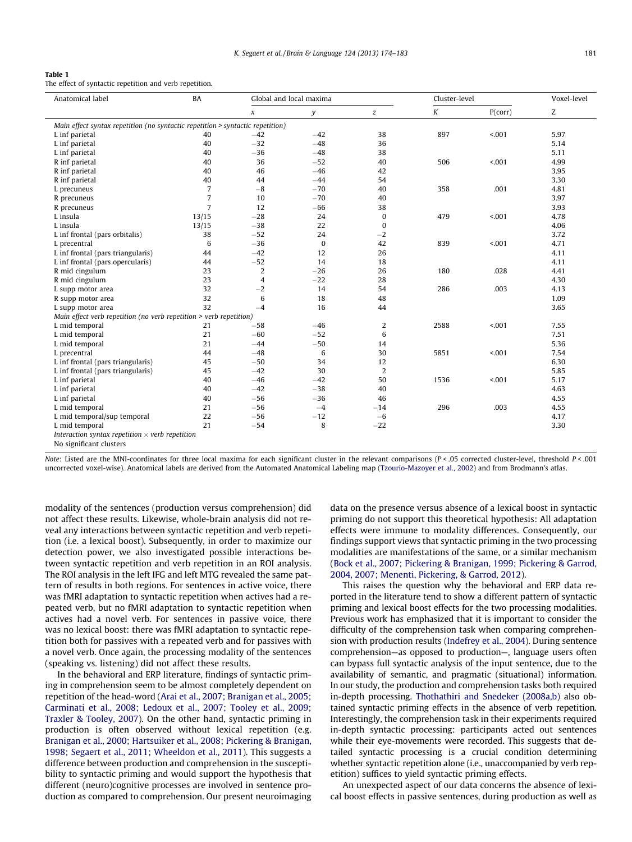#### <span id="page-7-0"></span>Table 1

The effect of syntactic repetition and verb repetition.

| Anatomical label                                                               | BA             | Global and local maxima |          |                  | Cluster-level |         | Voxel-level |
|--------------------------------------------------------------------------------|----------------|-------------------------|----------|------------------|---------------|---------|-------------|
|                                                                                |                | x                       | у        | $\boldsymbol{z}$ | K             | P(corr) | Z           |
| Main effect syntax repetition (no syntactic repetition > syntactic repetition) |                |                         |          |                  |               |         |             |
| L inf parietal                                                                 | 40             | $-42$                   | $-42$    | 38               | 897           | < 001   | 5.97        |
| L inf parietal                                                                 | 40             | $-32$                   | $-48$    | 36               |               |         | 5.14        |
| L inf parietal                                                                 | 40             | $-36$                   | $-48$    | 38               |               |         | 5.11        |
| R inf parietal                                                                 | 40             | 36                      | $-52$    | 40               | 506           | < 001   | 4.99        |
| R inf parietal                                                                 | 40             | 46                      | $-46$    | 42               |               |         | 3.95        |
| R inf parietal                                                                 | 40             | 44                      | $-44$    | 54               |               |         | 3.30        |
| L precuneus                                                                    | 7              | $-8$                    | $-70$    | 40               | 358           | .001    | 4.81        |
| R precuneus                                                                    | $\overline{7}$ | 10                      | $-70$    | 40               |               |         | 3.97        |
| R precuneus                                                                    | $\overline{7}$ | 12                      | $-66$    | 38               |               |         | 3.93        |
| L insula                                                                       | 13/15          | $-28$                   | 24       | $\bf{0}$         | 479           | < 001   | 4.78        |
| L insula                                                                       | 13/15          | $-38$                   | 22       | $\bf{0}$         |               |         | 4.06        |
| L inf frontal (pars orbitalis)                                                 | 38             | $-52$                   | 24       | $-2$             |               |         | 3.72        |
| L precentral                                                                   | 6              | $-36$                   | $\bf{0}$ | 42               | 839           | < 001   | 4.71        |
| L inf frontal (pars triangularis)                                              | 44             | $-42$                   | 12       | 26               |               |         | 4.11        |
| L inf frontal (pars opercularis)                                               | 44             | $-52$                   | 14       | 18               |               |         | 4.11        |
| R mid cingulum                                                                 | 23             | $\overline{2}$          | $-26$    | 26               | 180           | .028    | 4.41        |
| R mid cingulum                                                                 | 23             | $\overline{4}$          | $-22$    | 28               |               |         | 4.30        |
| L supp motor area                                                              | 32             | $-2$                    | 14       | 54               | 286           | .003    | 4.13        |
| R supp motor area                                                              | 32             | 6                       | 18       | 48               |               |         | 1.09        |
| L supp motor area                                                              | 32             | $-4$                    | 16       | 44               |               |         | 3.65        |
| Main effect verb repetition (no verb repetition $>$ verb repetition)           |                |                         |          |                  |               |         |             |
| L mid temporal                                                                 | 21             | $-58$                   | $-46$    | $\overline{c}$   | 2588          | < 0.01  | 7.55        |
| L mid temporal                                                                 | 21             | $-60$                   | $-52$    | 6                |               |         | 7.51        |
| L mid temporal                                                                 | 21             | $-44$                   | $-50$    | 14               |               |         | 5.36        |
| L precentral                                                                   | 44             | $-48$                   | 6        | 30               | 5851          | < 0.01  | 7.54        |
| L inf frontal (pars triangularis)                                              | 45             | $-50$                   | 34       | 12               |               |         | 6.30        |
| L inf frontal (pars triangularis)                                              | 45             | $-42$                   | 30       | $\overline{2}$   |               |         | 5.85        |
| L inf parietal                                                                 | 40             | $-46$                   | $-42$    | 50               | 1536          | < 001   | 5.17        |
| L inf parietal                                                                 | 40             | $-42$                   | $-38$    | 40               |               |         | 4.63        |
| L inf parietal                                                                 | 40             | $-56$                   | $-36$    | 46               |               |         | 4.55        |
| L mid temporal                                                                 | 21             | $-56$                   | $-4$     | $-14$            | 296           | .003    | 4.55        |
| L mid temporal/sup temporal                                                    | 22             | $-56$                   | $-12$    | $-6$             |               |         | 4.17        |
| L mid temporal                                                                 | 21             | $-54$                   | 8        | $-22$            |               |         | 3.30        |
| Interaction syntax repetition $\times$ verb repetition                         |                |                         |          |                  |               |         |             |
| No significant clusters                                                        |                |                         |          |                  |               |         |             |

Note: Listed are the MNI-coordinates for three local maxima for each significant cluster in the relevant comparisons (P < .05 corrected cluster-level, threshold P < .001 uncorrected voxel-wise). Anatomical labels are derived from the Automated Anatomical Labeling map ([Tzourio-Mazoyer et al., 2002](#page-9-0)) and from Brodmann's atlas.

modality of the sentences (production versus comprehension) did not affect these results. Likewise, whole-brain analysis did not reveal any interactions between syntactic repetition and verb repetition (i.e. a lexical boost). Subsequently, in order to maximize our detection power, we also investigated possible interactions between syntactic repetition and verb repetition in an ROI analysis. The ROI analysis in the left IFG and left MTG revealed the same pattern of results in both regions. For sentences in active voice, there was fMRI adaptation to syntactic repetition when actives had a repeated verb, but no fMRI adaptation to syntactic repetition when actives had a novel verb. For sentences in passive voice, there was no lexical boost: there was fMRI adaptation to syntactic repetition both for passives with a repeated verb and for passives with a novel verb. Once again, the processing modality of the sentences (speaking vs. listening) did not affect these results.

In the behavioral and ERP literature, findings of syntactic priming in comprehension seem to be almost completely dependent on repetition of the head-word ([Arai et al., 2007; Branigan et al., 2005;](#page-8-0) [Carminati et al., 2008; Ledoux et al., 2007; Tooley et al., 2009;](#page-8-0) [Traxler & Tooley, 2007\)](#page-8-0). On the other hand, syntactic priming in production is often observed without lexical repetition (e.g. [Branigan et al., 2000; Hartsuiker et al., 2008; Pickering & Branigan,](#page-8-0) [1998; Segaert et al., 2011; Wheeldon et al., 2011\)](#page-8-0). This suggests a difference between production and comprehension in the susceptibility to syntactic priming and would support the hypothesis that different (neuro)cognitive processes are involved in sentence production as compared to comprehension. Our present neuroimaging data on the presence versus absence of a lexical boost in syntactic priming do not support this theoretical hypothesis: All adaptation effects were immune to modality differences. Consequently, our findings support views that syntactic priming in the two processing modalities are manifestations of the same, or a similar mechanism ([Bock et al., 2007; Pickering & Branigan, 1999; Pickering & Garrod,](#page-8-0) [2004, 2007; Menenti, Pickering, & Garrod, 2012](#page-8-0)).

This raises the question why the behavioral and ERP data reported in the literature tend to show a different pattern of syntactic priming and lexical boost effects for the two processing modalities. Previous work has emphasized that it is important to consider the difficulty of the comprehension task when comparing comprehension with production results ([Indefrey et al., 2004](#page-9-0)). During sentence comprehension—as opposed to production—, language users often can bypass full syntactic analysis of the input sentence, due to the availability of semantic, and pragmatic (situational) information. In our study, the production and comprehension tasks both required in-depth processing. [Thothathiri and Snedeker \(2008a,b\)](#page-9-0) also obtained syntactic priming effects in the absence of verb repetition. Interestingly, the comprehension task in their experiments required in-depth syntactic processing: participants acted out sentences while their eye-movements were recorded. This suggests that detailed syntactic processing is a crucial condition determining whether syntactic repetition alone (i.e., unaccompanied by verb repetition) suffices to yield syntactic priming effects.

An unexpected aspect of our data concerns the absence of lexical boost effects in passive sentences, during production as well as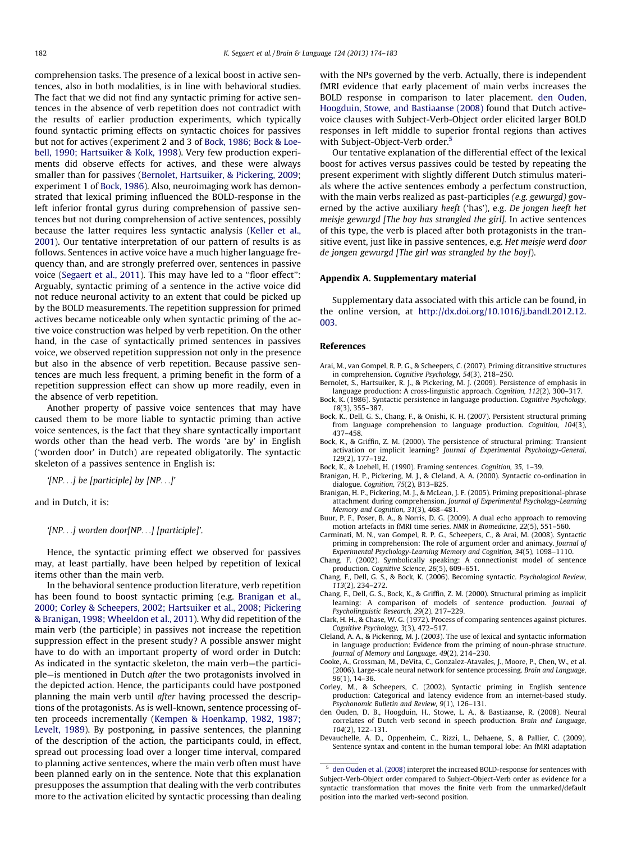<span id="page-8-0"></span>comprehension tasks. The presence of a lexical boost in active sentences, also in both modalities, is in line with behavioral studies. The fact that we did not find any syntactic priming for active sentences in the absence of verb repetition does not contradict with the results of earlier production experiments, which typically found syntactic priming effects on syntactic choices for passives but not for actives (experiment 2 and 3 of Bock, 1986; Bock & Loebell, 1990; Hartsuiker & Kolk, 1998). Very few production experiments did observe effects for actives, and these were always smaller than for passives (Bernolet, Hartsuiker, & Pickering, 2009; experiment 1 of Bock, 1986). Also, neuroimaging work has demonstrated that lexical priming influenced the BOLD-response in the left inferior frontal gyrus during comprehension of passive sentences but not during comprehension of active sentences, possibly because the latter requires less syntactic analysis ([Keller et al.,](#page-9-0) [2001\)](#page-9-0). Our tentative interpretation of our pattern of results is as follows. Sentences in active voice have a much higher language frequency than, and are strongly preferred over, sentences in passive voice [\(Segaert et al., 2011](#page-9-0)). This may have led to a ''floor effect'': Arguably, syntactic priming of a sentence in the active voice did not reduce neuronal activity to an extent that could be picked up by the BOLD measurements. The repetition suppression for primed actives became noticeable only when syntactic priming of the active voice construction was helped by verb repetition. On the other hand, in the case of syntactically primed sentences in passives voice, we observed repetition suppression not only in the presence but also in the absence of verb repetition. Because passive sentences are much less frequent, a priming benefit in the form of a repetition suppression effect can show up more readily, even in the absence of verb repetition.

Another property of passive voice sentences that may have caused them to be more liable to syntactic priming than active voice sentences, is the fact that they share syntactically important words other than the head verb. The words 'are by' in English ('worden door' in Dutch) are repeated obligatorily. The syntactic skeleton of a passives sentence in English is:

'[NP...] be [participle] by [NP...]'

and in Dutch, it is:

## '[NP...] worden door[NP...] [participle]'.

Hence, the syntactic priming effect we observed for passives may, at least partially, have been helped by repetition of lexical items other than the main verb.

In the behavioral sentence production literature, verb repetition has been found to boost syntactic priming (e.g. Branigan et al., 2000; Corley & Scheepers, 2002; Hartsuiker et al., 2008; Pickering & Branigan, 1998; Wheeldon et al., 2011). Why did repetition of the main verb (the participle) in passives not increase the repetition suppression effect in the present study? A possible answer might have to do with an important property of word order in Dutch: As indicated in the syntactic skeleton, the main verb—the participle—is mentioned in Dutch after the two protagonists involved in the depicted action. Hence, the participants could have postponed planning the main verb until after having processed the descriptions of the protagonists. As is well-known, sentence processing often proceeds incrementally ([Kempen & Hoenkamp, 1982, 1987;](#page-9-0) [Levelt, 1989\)](#page-9-0). By postponing, in passive sentences, the planning of the description of the action, the participants could, in effect, spread out processing load over a longer time interval, compared to planning active sentences, where the main verb often must have been planned early on in the sentence. Note that this explanation presupposes the assumption that dealing with the verb contributes more to the activation elicited by syntactic processing than dealing with the NPs governed by the verb. Actually, there is independent fMRI evidence that early placement of main verbs increases the BOLD response in comparison to later placement. den Ouden, Hoogduin, Stowe, and Bastiaanse (2008) found that Dutch activevoice clauses with Subject-Verb-Object order elicited larger BOLD responses in left middle to superior frontal regions than actives with Subject-Object-Verb order.<sup>5</sup>

Our tentative explanation of the differential effect of the lexical boost for actives versus passives could be tested by repeating the present experiment with slightly different Dutch stimulus materials where the active sentences embody a perfectum construction, with the main verbs realized as past-participles (e.g. gewurgd) governed by the active auxiliary heeft ('has'), e.g. De jongen heeft het meisje gewurgd [The boy has strangled the girl]. In active sentences of this type, the verb is placed after both protagonists in the transitive event, just like in passive sentences, e.g. Het meisje werd door de jongen gewurgd [The girl was strangled by the boy]).

# Appendix A. Supplementary material

Supplementary data associated with this article can be found, in the online version, at [http://dx.doi.org/10.1016/j.bandl.2012.12.](http://dx.doi.org/10.1016/j.bandl.2012.12.003) [003.](http://dx.doi.org/10.1016/j.bandl.2012.12.003)

## References

- Arai, M., van Gompel, R. P. G., & Scheepers, C. (2007). Priming ditransitive structures in comprehension. Cognitive Psychology, 54(3), 218–250.
- Bernolet, S., Hartsuiker, R. J., & Pickering, M. J. (2009). Persistence of emphasis in language production: A cross-linguistic approach. Cognition, 112(2), 300–317.
- Bock, K. (1986). Syntactic persistence in language production. Cognitive Psychology, 18(3), 355–387.
- Bock, K., Dell, G. S., Chang, F., & Onishi, K. H. (2007). Persistent structural priming from language comprehension to language production. Cognition, 104(3), 437–458.
- Bock, K., & Griffin, Z. M. (2000). The persistence of structural priming: Transient activation or implicit learning? Journal of Experimental Psychology-General, 129(2), 177–192.
- Bock, K., & Loebell, H. (1990). Framing sentences. Cognition, 35, 1–39.
- Branigan, H. P., Pickering, M. J., & Cleland, A. A. (2000). Syntactic co-ordination in dialogue. Cognition, 75(2), B13–B25.
- Branigan, H. P., Pickering, M. J., & McLean, J. F. (2005). Priming prepositional-phrase attachment during comprehension. Journal of Experimental Psychology-Learning Memory and Cognition, 31(3), 468–481.
- Buur, P. F., Poser, B. A., & Norris, D. G. (2009). A dual echo approach to removing motion artefacts in fMRI time series. NMR in Biomedicine, 22(5), 551–560.
- Carminati, M. N., van Gompel, R. P. G., Scheepers, C., & Arai, M. (2008). Syntactic priming in comprehension: The role of argument order and animacy. Journal of Experimental Psychology-Learning Memory and Cognition, 34(5), 1098–1110.
- Chang, F. (2002). Symbolically speaking: A connectionist model of sentence production. Cognitive Science, 26(5), 609–651.
- Chang, F., Dell, G. S., & Bock, K. (2006). Becoming syntactic. Psychological Review, 113(2), 234–272.
- Chang, F., Dell, G. S., Bock, K., & Griffin, Z. M. (2000). Structural priming as implicit learning: A comparison of models of sentence production. Journal of Psycholinguistic Research, 29(2), 217–229.
- Clark, H. H., & Chase, W. G. (1972). Process of comparing sentences against pictures. Cognitive Psychology, 3(3), 472–517.
- Cleland, A. A., & Pickering, M. J. (2003). The use of lexical and syntactic information in language production: Evidence from the priming of noun-phrase structure. Journal of Memory and Language, 49(2), 214–230.
- Cooke, A., Grossman, M., DeVita, C., Gonzalez-Atavales, J., Moore, P., Chen, W., et al. (2006). Large-scale neural network for sentence processing. Brain and Language, 96(1), 14–36.
- Corley, M., & Scheepers, C. (2002). Syntactic priming in English sentence production: Categorical and latency evidence from an internet-based study. Psychonomic Bulletin and Review, 9(1), 126–131.
- den Ouden, D. B., Hoogduin, H., Stowe, L. A., & Bastiaanse, R. (2008). Neural correlates of Dutch verb second in speech production. Brain and Language, 104(2), 122–131.
- Devauchelle, A. D., Oppenheim, C., Rizzi, L., Dehaene, S., & Pallier, C. (2009). Sentence syntax and content in the human temporal lobe: An fMRI adaptation

<sup>5</sup> den Ouden et al. (2008) interpret the increased BOLD-response for sentences with Subject-Verb-Object order compared to Subject-Object-Verb order as evidence for a syntactic transformation that moves the finite verb from the unmarked/default position into the marked verb-second position.